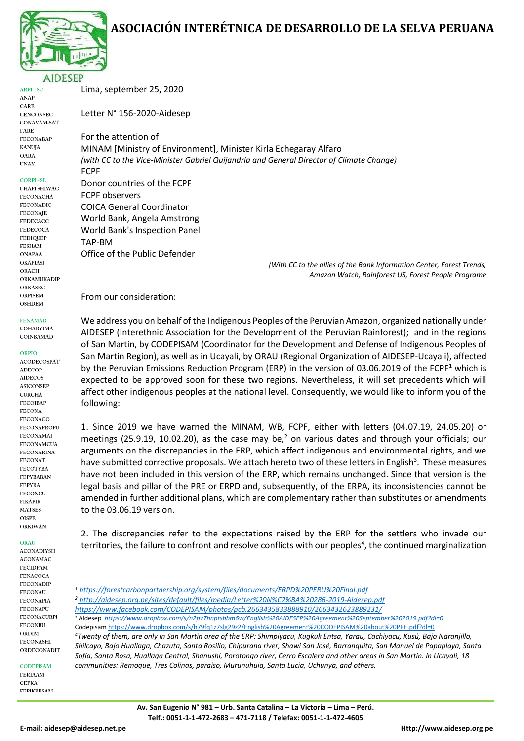# **ASOCIACIÓN INTERÉTNICA DE DESARROLLO DE LA SELVA PERUANA**



 $ARPI-SC$ ANAP CARE **CENCONSEC** CONAVAM-SAT FARE **FECONABAP** KANUJA OARA **UNAY** 

#### **CORPI-SL**

CHAPI SHIWAG **FECONACHA FECONADIC FECONAIE FEDECACC FEDECOCA FEDIOUEP FESHAM ONAPAA OKAPIASI** ORACH ORKAMUKADIP ORKASEC ORPISEM **OSHDEM** 

**FENAMAD** COHARYIMA

COINBAMAD

ORPIO

**ACODECOSPAT ADECOP AIDECOS ASICONSEP CURCHA FECOIBAP FECONA** FECONACO **FECONAFROPU FECONAMAI FECONAMCUA FECONARINA FECONAT FECOTYBA FEPYBABAN FEPYRA FECONCU FIKAPIR MATSES OISPE ORKIWAN** 

### ORAU

**ACONADIYSH ACONAMAC FECIDPAM FENACOCA FECONADIP FECONAU FECONAPIA FECONAPU FECONACURPI FECONBU** ORDIM **FECONASHI** ORDECONADIT

**CODEPISAM FERIAAM CEPKA** EEDIKDECAM Lima, september 25, 2020

Letter N° 156-2020-Aidesep

For the attention of MINAM [Ministry of Environment], Minister Kirla Echegaray Alfaro *(with CC to the Vice-Minister Gabriel Quijandría and General Director of Climate Change)* FCPF Donor countries of the FCPF

FCPF observers COICA General Coordinator World Bank, Angela Amstrong World Bank's Inspection Panel TAP-BM Office of the Public Defender

*(With CC to the allies of the Bank Information Center, Forest Trends, Amazon Watch, Rainforest US, Forest People Programe*

From our consideration:

We address you on behalf of the Indigenous Peoples of the Peruvian Amazon, organized nationally under AIDESEP (Interethnic Association for the Development of the Peruvian Rainforest); and in the regions of San Martin, by CODEPISAM (Coordinator for the Development and Defense of Indigenous Peoples of San Martin Region), as well as in Ucayali, by ORAU (Regional Organization of AIDESEP-Ucayali), affected by the Peruvian Emissions Reduction Program (ERP) in the version of 03.06.2019 of the FCPF<sup>1</sup> which is expected to be approved soon for these two regions. Nevertheless, it will set precedents which will affect other indigenous peoples at the national level. Consequently, we would like to inform you of the following:

1. Since 2019 we have warned the MINAM, WB, FCPF, either with letters (04.07.19, 24.05.20) or meetings (25.9.19, 10.02.20), as the case may be,<sup>2</sup> on various dates and through your officials; our arguments on the discrepancies in the ERP, which affect indigenous and environmental rights, and we have submitted corrective proposals. We attach hereto two of these letters in English<sup>3</sup>. These measures have not been included in this version of the ERP, which remains unchanged. Since that version is the legal basis and pillar of the PRE or ERPD and, subsequently, of the ERPA, its inconsistencies cannot be amended in further additional plans, which are complementary rather than substitutes or amendments to the 03.06.19 version.

2. The discrepancies refer to the expectations raised by the ERP for the settlers who invade our territories, the failure to confront and resolve conflicts with our peoples<sup>4</sup>, the continued marginalization

*Shilcayo, Bajo Huallaga, Chazuta, Santa Rosillo, Chipurana river, Shawi San José, Barranquita, San Manuel de Papaplaya, Santa Sofía, Santa Rosa, Huallaga Central, Shanushi, Porotongo river, Cerro Escalera and other areas in San Martin. In Ucayali, 18 communities: Remoque, Tres Colinas, paraíso, Murunuhuia, Santa Lucia, Uchunya, and others.*

**<sup>.</sup>** *<sup>1</sup> <https://forestcarbonpartnership.org/system/files/documents/ERPD%20PERU%20Final.pdf> <sup>2</sup> <http://aidesep.org.pe/sites/default/files/media/Letter%20N%C2%BA%20286-2019-Aidesep.pdf> <https://www.facebook.com/CODEPISAM/photos/pcb.2663435833888910/2663432623889231/>* <sup>3</sup> Aidesep *<https://www.dropbox.com/s/n2pv7hnptsbbm6w/English%20AIDESEP%20Agreement%20September%202019.pdf?dl=0>* Codepisa[m https://www.dropbox.com/s/h79fq1z7slg29z2/English%20Agreement%20CODEPISAM%20about%20PRE.pdf?dl=0](https://www.dropbox.com/s/h79fq1z7slg29z2/English%20Agreement%20CODEPISAM%20about%20PRE.pdf?dl=0) *<sup>4</sup>Twenty of them, are only in San Martin area of the ERP: Shimpiyacu, Kugkuk Entsa, Yarau, Cachiyacu, Kusú, Bajo Naranjillo,*